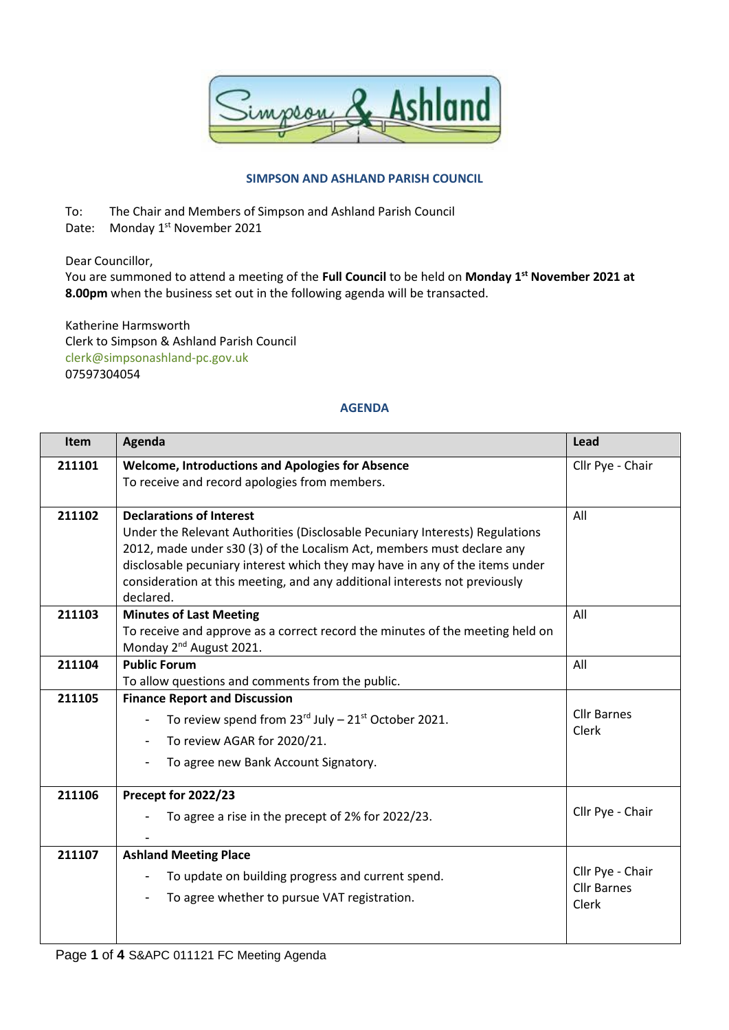

## **SIMPSON AND ASHLAND PARISH COUNCIL**

To: The Chair and Members of Simpson and Ashland Parish Council

Date: Monday 1<sup>st</sup> November 2021

Dear Councillor,

You are summoned to attend a meeting of the **Full Council** to be held on **Monday 1 st November 2021 at 8.00pm** when the business set out in the following agenda will be transacted.

Katherine Harmsworth Clerk to Simpson & Ashland Parish Council [clerk@simpsonashland-pc.gov.uk](mailto:clerk@simpsonashland-pc.gov.uk) 07597304054

## **AGENDA**

| Item   | Agenda                                                                                                                                                                                                                                                                    | Lead                                            |
|--------|---------------------------------------------------------------------------------------------------------------------------------------------------------------------------------------------------------------------------------------------------------------------------|-------------------------------------------------|
| 211101 | <b>Welcome, Introductions and Apologies for Absence</b><br>To receive and record apologies from members.                                                                                                                                                                  | Cllr Pye - Chair                                |
| 211102 | <b>Declarations of Interest</b><br>Under the Relevant Authorities (Disclosable Pecuniary Interests) Regulations<br>2012, made under s30 (3) of the Localism Act, members must declare any<br>disclosable pecuniary interest which they may have in any of the items under | All                                             |
|        | consideration at this meeting, and any additional interests not previously<br>declared.                                                                                                                                                                                   |                                                 |
| 211103 | <b>Minutes of Last Meeting</b><br>To receive and approve as a correct record the minutes of the meeting held on<br>Monday 2 <sup>nd</sup> August 2021.                                                                                                                    | All                                             |
| 211104 | <b>Public Forum</b><br>To allow questions and comments from the public.                                                                                                                                                                                                   | All                                             |
| 211105 | <b>Finance Report and Discussion</b><br>To review spend from $23^{\text{rd}}$ July - $21^{\text{st}}$ October 2021.<br>To review AGAR for 2020/21.<br>To agree new Bank Account Signatory.                                                                                | <b>Cllr Barnes</b><br>Clerk                     |
| 211106 | Precept for 2022/23<br>To agree a rise in the precept of 2% for 2022/23.                                                                                                                                                                                                  | Cllr Pye - Chair                                |
| 211107 | <b>Ashland Meeting Place</b><br>To update on building progress and current spend.<br>To agree whether to pursue VAT registration.                                                                                                                                         | Cllr Pye - Chair<br><b>Cllr Barnes</b><br>Clerk |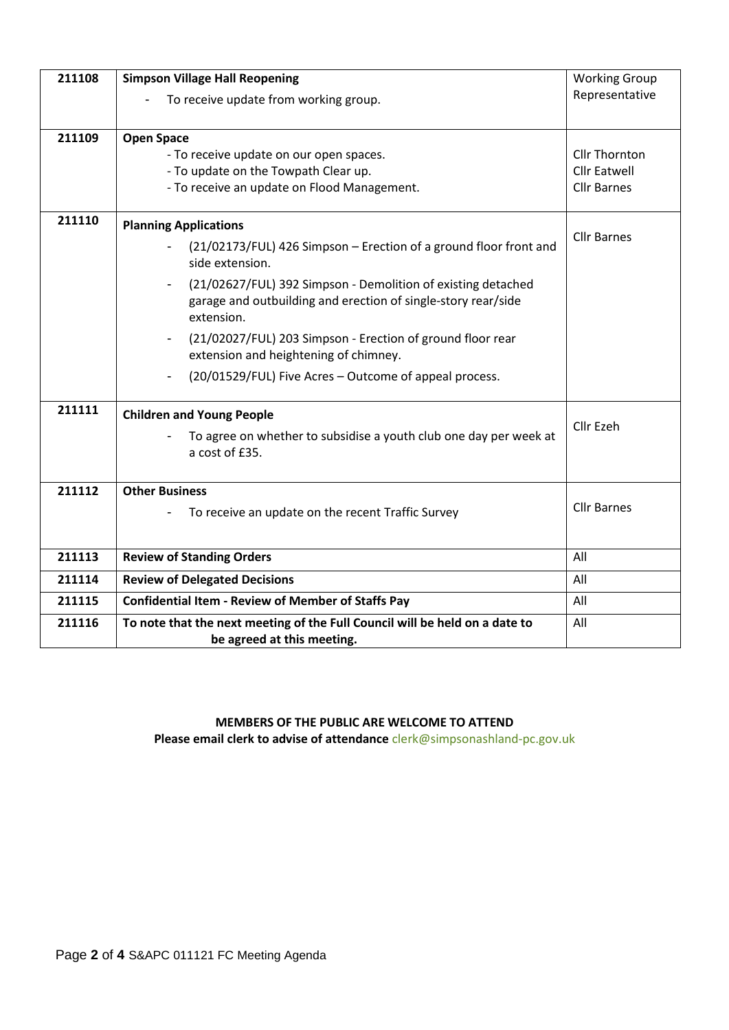| 211108 | <b>Simpson Village Hall Reopening</b>                                                                                                       | <b>Working Group</b>                      |  |
|--------|---------------------------------------------------------------------------------------------------------------------------------------------|-------------------------------------------|--|
|        | To receive update from working group.                                                                                                       | Representative                            |  |
| 211109 | <b>Open Space</b>                                                                                                                           |                                           |  |
|        | - To receive update on our open spaces.                                                                                                     | <b>Cllr Thornton</b>                      |  |
|        | - To update on the Towpath Clear up.<br>- To receive an update on Flood Management.                                                         | <b>Cllr Eatwell</b><br><b>Cllr Barnes</b> |  |
|        |                                                                                                                                             |                                           |  |
| 211110 | <b>Planning Applications</b>                                                                                                                | <b>Cllr Barnes</b>                        |  |
|        | (21/02173/FUL) 426 Simpson - Erection of a ground floor front and<br>side extension.                                                        |                                           |  |
|        | (21/02627/FUL) 392 Simpson - Demolition of existing detached<br>garage and outbuilding and erection of single-story rear/side<br>extension. |                                           |  |
|        | (21/02027/FUL) 203 Simpson - Erection of ground floor rear<br>extension and heightening of chimney.                                         |                                           |  |
|        | (20/01529/FUL) Five Acres - Outcome of appeal process.                                                                                      |                                           |  |
| 211111 | <b>Children and Young People</b>                                                                                                            | Cllr Ezeh                                 |  |
|        | To agree on whether to subsidise a youth club one day per week at<br>a cost of £35.                                                         |                                           |  |
| 211112 | <b>Other Business</b>                                                                                                                       |                                           |  |
|        | To receive an update on the recent Traffic Survey                                                                                           | <b>Cllr Barnes</b>                        |  |
|        |                                                                                                                                             |                                           |  |
| 211113 | <b>Review of Standing Orders</b>                                                                                                            | All                                       |  |
| 211114 | <b>Review of Delegated Decisions</b>                                                                                                        | All                                       |  |
| 211115 | <b>Confidential Item - Review of Member of Staffs Pay</b>                                                                                   | All                                       |  |
| 211116 | To note that the next meeting of the Full Council will be held on a date to                                                                 | All                                       |  |
|        | be agreed at this meeting.                                                                                                                  |                                           |  |

**MEMBERS OF THE PUBLIC ARE WELCOME TO ATTEND Please email clerk to advise of attendance** [clerk@simpsonashland-pc.gov.uk](mailto:clerk@simpsonashland-pc.gov.uk)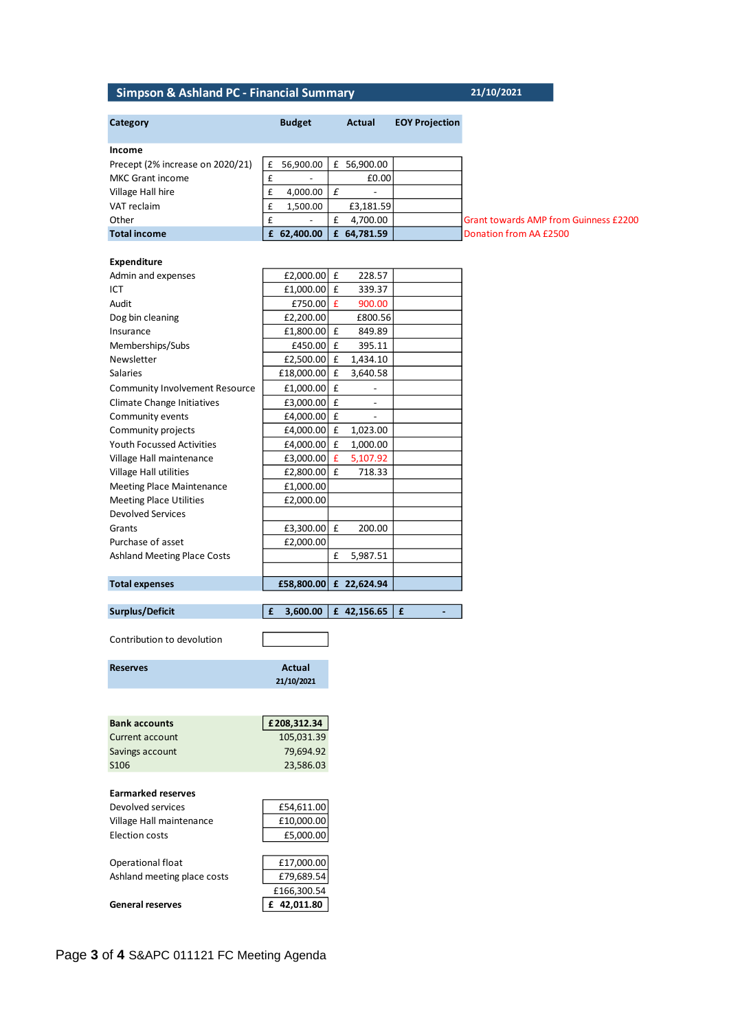## **Simpson & Ashland PC - Financial Summary 21/10/2021**

| Category                           | <b>Budget</b>          |   | Actual                   | <b>EOY Projection</b> |
|------------------------------------|------------------------|---|--------------------------|-----------------------|
|                                    |                        |   |                          |                       |
| Income                             |                        |   |                          |                       |
| Precept (2% increase on 2020/21)   | 56,900.00<br>£         |   | £ 56,900.00              |                       |
| MKC Grant income                   | £                      |   | £0.00                    |                       |
| Village Hall hire                  | £<br>4,000.00          | £ |                          |                       |
| VAT reclaim                        | £<br>1,500.00          |   | £3,181.59                |                       |
| Other                              | £                      | £ | 4,700.00                 |                       |
| <b>Total income</b>                | £ 62,400.00            |   | £ 64,781.59              |                       |
| <b>Expenditure</b>                 |                        |   |                          |                       |
| Admin and expenses                 | £2,000.00 £            |   | 228.57                   |                       |
| ICT                                | £1,000.00 £            |   | 339.37                   |                       |
| Audit                              | £750.00 £              |   | 900.00                   |                       |
| Dog bin cleaning                   | £2,200.00              |   | £800.56                  |                       |
| Insurance                          |                        |   | 849.89                   |                       |
|                                    | £1,800.00 £            |   |                          |                       |
| Memberships/Subs                   | $£450.00$ £            |   | 395.11                   |                       |
| Newsletter                         | £2,500.00 £            |   | 1,434.10                 |                       |
| Salaries                           | £18,000.00 £           |   | 3,640.58                 |                       |
| Community Involvement Resource     | £1,000.00 £            |   | $\overline{\phantom{a}}$ |                       |
| Climate Change Initiatives         | £3,000.00 £            |   | $\overline{\phantom{a}}$ |                       |
| Community events                   | £4,000.00 £            |   | $\overline{a}$           |                       |
| Community projects                 | £4,000.00 £            |   | 1,023.00                 |                       |
| <b>Youth Focussed Activities</b>   | £4,000.00 £            |   | 1,000.00                 |                       |
| Village Hall maintenance           | £3,000.00 £            |   | 5,107.92                 |                       |
| Village Hall utilities             | £2,800.00 £            |   | 718.33                   |                       |
| <b>Meeting Place Maintenance</b>   | £1,000.00              |   |                          |                       |
| <b>Meeting Place Utilities</b>     | £2,000.00              |   |                          |                       |
| <b>Devolved Services</b>           |                        |   |                          |                       |
| Grants                             | £3,300.00 £            |   | 200.00                   |                       |
| Purchase of asset                  | £2,000.00              |   |                          |                       |
|                                    |                        |   |                          |                       |
| <b>Ashland Meeting Place Costs</b> |                        | £ | 5,987.51                 |                       |
| <b>Total expenses</b>              | £58,800.00 £ 22,624.94 |   |                          |                       |
| <b>Surplus/Deficit</b>             | £<br>3,600.00          |   | £ 42,156.65              | £                     |
|                                    |                        |   |                          |                       |
| Contribution to devolution         |                        |   |                          |                       |
| <b>Reserves</b>                    | <b>Actual</b>          |   |                          |                       |
|                                    | 21/10/2021             |   |                          |                       |
|                                    |                        |   |                          |                       |
| <b>Bank accounts</b>               | £208,312.34            |   |                          |                       |
| Current account                    | 105,031.39             |   |                          |                       |
| Savings account                    | 79,694.92              |   |                          |                       |
| <b>S106</b>                        | 23,586.03              |   |                          |                       |
|                                    |                        |   |                          |                       |
| <b>Earmarked reserves</b>          |                        |   |                          |                       |
| Devolved services                  | £54,611.00             |   |                          |                       |
| Village Hall maintenance           | £10,000.00             |   |                          |                       |
| <b>Election costs</b>              | £5,000.00              |   |                          |                       |
| Operational float                  | £17,000.00             |   |                          |                       |
| Ashland meeting place costs        | £79,689.54             |   |                          |                       |
|                                    |                        |   |                          |                       |
|                                    | £166,300.54            |   |                          |                       |
| <b>General reserves</b>            | £ 42,011.80            |   |                          |                       |